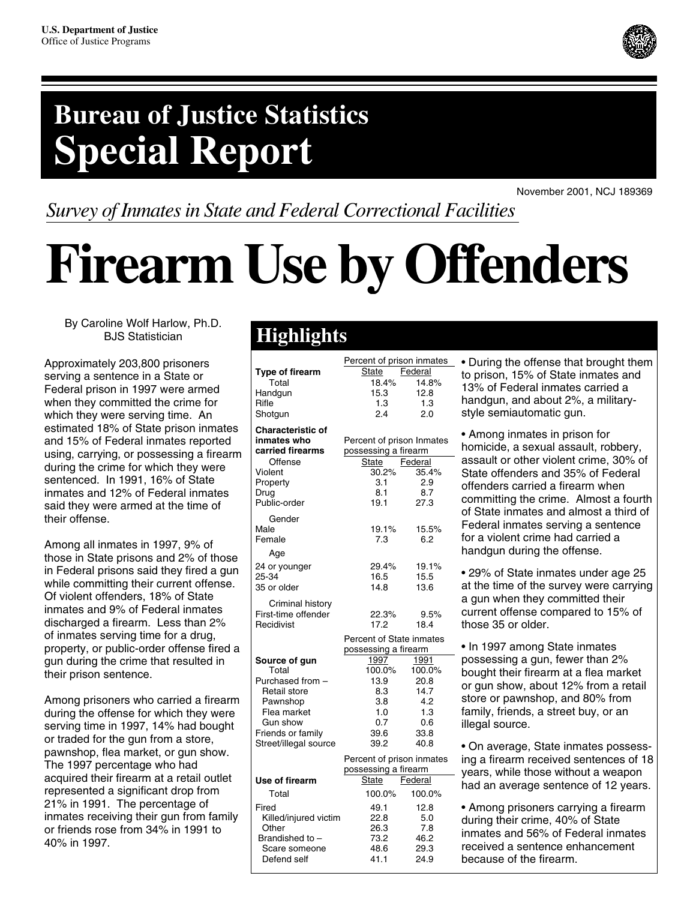

## **Bureau of Justice Statistics Special Report**

November 2001, NCJ 189369

*Survey of Inmates in State and Federal Correctional Facilities* 

# **Firearm Use by Offenders**

By Caroline Wolf Harlow, Ph.D. BJS Statistician

Approximately 203,800 prisoners serving a sentence in a State or Federal prison in 1997 were armed when they committed the crime for which they were serving time. An estimated 18% of State prison inmates and 15% of Federal inmates reported using, carrying, or possessing a firearm during the crime for which they were sentenced. In 1991, 16% of State inmates and 12% of Federal inmates said they were armed at the time of their offense.

Among all inmates in 1997, 9% of those in State prisons and 2% of those in Federal prisons said they fired a gun while committing their current offense. Of violent offenders, 18% of State inmates and 9% of Federal inmates discharged a firearm. Less than 2% of inmates serving time for a drug, property, or public-order offense fired a gun during the crime that resulted in their prison sentence.

Among prisoners who carried a firearm during the offense for which they were serving time in 1997, 14% had bought or traded for the gun from a store, pawnshop, flea market, or gun show. The 1997 percentage who had acquired their firearm at a retail outlet represented a significant drop from 21% in 1991. The percentage of inmates receiving their gun from family or friends rose from 34% in 1991 to 40% in 1997.

## **Highlights**

|                          | Percent of prison inmates<br>Federal<br>State |              |  |  |  |
|--------------------------|-----------------------------------------------|--------------|--|--|--|
| Type of firearm          |                                               |              |  |  |  |
| Total                    | 18.4%                                         | 14.8%        |  |  |  |
| Handqun                  | 15.3                                          | 12.8         |  |  |  |
| Rifle                    | 1.3                                           | 1.3          |  |  |  |
| Shotgun                  | 2.4                                           | 2.0          |  |  |  |
| <b>Characteristic of</b> |                                               |              |  |  |  |
| inmates who              | Percent of prison Inmates                     |              |  |  |  |
| carried firearms         | possessing a firearm                          |              |  |  |  |
| Offense                  | State                                         | Federal      |  |  |  |
| Violent                  | 30.2%                                         | 35.4%        |  |  |  |
| Property                 | 3.1                                           | 2.9          |  |  |  |
| Drug                     | 8.1                                           | 8.7          |  |  |  |
| Public-order             | 19.1                                          | 27.3         |  |  |  |
| Gender                   |                                               |              |  |  |  |
| Male                     | 19.1%                                         | 15.5%        |  |  |  |
| Female                   | 7.3                                           | 6.2          |  |  |  |
| Age                      |                                               |              |  |  |  |
| 24 or younger            | 29.4%                                         | 19.1%        |  |  |  |
| 25-34                    | 16.5                                          | 15.5         |  |  |  |
| 35 or older              | 14.8                                          | 13.6         |  |  |  |
| Criminal history         |                                               |              |  |  |  |
| First-time offender      | 22.3%                                         |              |  |  |  |
| Recidivist               | 17.2                                          | 9.5%<br>18.4 |  |  |  |
|                          |                                               |              |  |  |  |
|                          | <b>Percent of State inmates</b>               |              |  |  |  |
|                          | possessing a firearm                          |              |  |  |  |
| Source of gun            | 1997                                          | 1991         |  |  |  |
| Total                    | 100.0%                                        | 100.0%       |  |  |  |
| Purchased from -         | 13.9                                          | 20.8         |  |  |  |
| Retail store             | 8.3                                           | 14.7         |  |  |  |
| Pawnshop                 | 3.8                                           | 4.2          |  |  |  |
| Flea market              | 1.0                                           | 1.3          |  |  |  |
| Gun show                 | 0.7                                           | 0.6          |  |  |  |
| Friends or family        | 39.6                                          | 33.8         |  |  |  |
| Street/illegal source    | 39.2                                          | 40.8         |  |  |  |
|                          | Percent of prison inmates                     |              |  |  |  |
|                          | possessing a firearm                          |              |  |  |  |
| Use of firearm           | State                                         | Federal      |  |  |  |
| Total                    | 100.0%                                        | 100.0%       |  |  |  |
| Fired                    | 49.1                                          | 12.8         |  |  |  |
| Killed/injured victim    | 22.8                                          | 5.0          |  |  |  |
| Other                    | 26.3                                          | 7.8          |  |  |  |
| Brandished to -          | 73.2                                          | 46.2         |  |  |  |
| Scare someone            | 48.6                                          | 29.3         |  |  |  |
| Defend self              | 41.1                                          | 24.9         |  |  |  |
|                          |                                               |              |  |  |  |

• During the offense that brought them to prison, 15% of State inmates and 13% of Federal inmates carried a handgun, and about 2%, a militarystyle semiautomatic gun.

• Among inmates in prison for homicide, a sexual assault, robbery, assault or other violent crime, 30% of State offenders and 35% of Federal offenders carried a firearm when committing the crime. Almost a fourth of State inmates and almost a third of Federal inmates serving a sentence for a violent crime had carried a handgun during the offense.

• 29% of State inmates under age 25 at the time of the survey were carrying a gun when they committed their current offense compared to 15% of those 35 or older.

• In 1997 among State inmates possessing a gun, fewer than 2% bought their firearm at a flea market or gun show, about 12% from a retail store or pawnshop, and 80% from family, friends, a street buy, or an illegal source.

• On average, State inmates possessing a firearm received sentences of 18 years, while those without a weapon had an average sentence of 12 years.

• Among prisoners carrying a firearm during their crime, 40% of State inmates and 56% of Federal inmates received a sentence enhancement because of the firearm.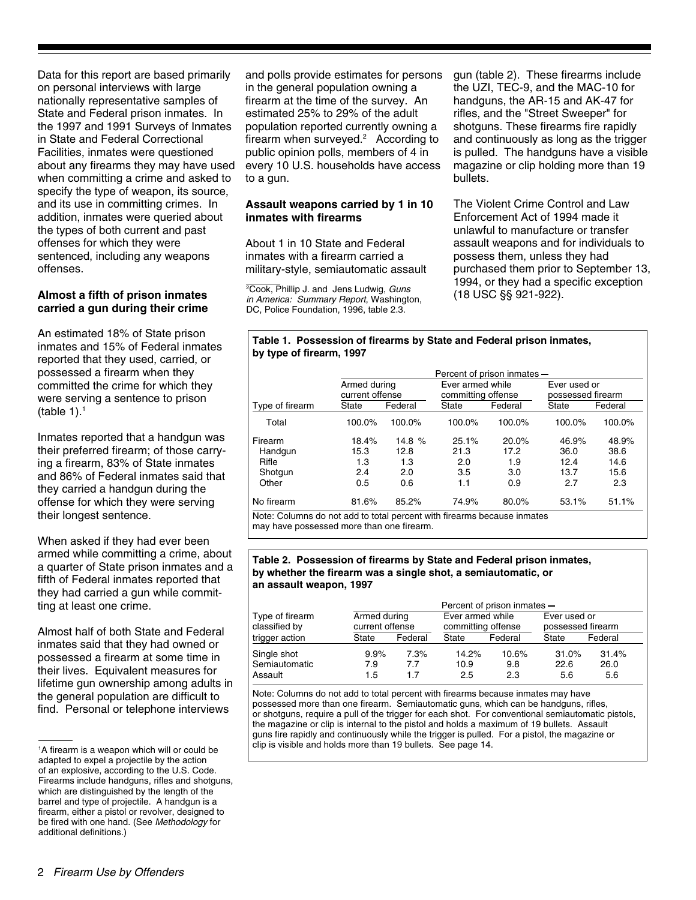Data for this report are based primarily on personal interviews with large nationally representative samples of State and Federal prison inmates. In the 1997 and 1991 Surveys of Inmates in State and Federal Correctional Facilities, inmates were questioned about any firearms they may have used when committing a crime and asked to specify the type of weapon, its source, and its use in committing crimes. In addition, inmates were queried about the types of both current and past offenses for which they were sentenced, including any weapons offenses.

#### **Almost a fifth of prison inmates carried a gun during their crime**

An estimated 18% of State prison inmates and 15% of Federal inmates reported that they used, carried, or possessed a firearm when they committed the crime for which they were serving a sentence to prison (table 1). $1$ 

Inmates reported that a handgun was their preferred firearm; of those carrying a firearm, 83% of State inmates and 86% of Federal inmates said that they carried a handgun during the offense for which they were serving their longest sentence.

When asked if they had ever been armed while committing a crime, about a quarter of State prison inmates and a fifth of Federal inmates reported that they had carried a gun while committing at least one crime.

Almost half of both State and Federal inmates said that they had owned or possessed a firearm at some time in their lives. Equivalent measures for lifetime gun ownership among adults in the general population are difficult to find. Personal or telephone interviews

and polls provide estimates for persons in the general population owning a firearm at the time of the survey. An estimated 25% to 29% of the adult population reported currently owning a firearm when surveyed. $^2$  According to public opinion polls, members of 4 in every 10 U.S. households have access to a gun.

#### **Assault weapons carried by 1 in 10 inmates with firearms**

About 1 in 10 State and Federal inmates with a firearm carried a military-style, semiautomatic assault

2 Cook, Phillip J. and Jens Ludwig, *Guns in America: Summary Report*, Washington, DC, Police Foundation, 1996, table 2.3.

gun (table 2). These firearms include the UZI, TEC-9, and the MAC-10 for handguns, the AR-15 and AK-47 for rifles, and the "Street Sweeper" for shotguns. These firearms fire rapidly and continuously as long as the trigger is pulled. The handguns have a visible magazine or clip holding more than 19 bullets.

The Violent Crime Control and Law Enforcement Act of 1994 made it unlawful to manufacture or transfer assault weapons and for individuals to possess them, unless they had purchased them prior to September 13, 1994, or they had a specific exception (18 USC §§ 921-922).

## Table 1. Possession of firearms by State and Federal prison inmates,<br>by type of firearm, 1997<br>Percent of prison inmates – **by type of firearm, 1997**

|                                                                         | Percent of prison inmates -     |          |                                        |         |                                   |         |
|-------------------------------------------------------------------------|---------------------------------|----------|----------------------------------------|---------|-----------------------------------|---------|
|                                                                         | Armed during<br>current offense |          | Ever armed while<br>committing offense |         | Ever used or<br>possessed firearm |         |
| Type of firearm                                                         | <b>State</b>                    | Federal  | State                                  | Federal | State                             | Federal |
| Total                                                                   | 100.0%                          | 100.0%   | 100.0%                                 | 100.0%  | 100.0%                            | 100.0%  |
| Firearm                                                                 | 18.4%                           | 14.8 $%$ | 25.1%                                  | 20.0%   | 46.9%                             | 48.9%   |
| Handgun                                                                 | 15.3                            | 12.8     | 21.3                                   | 17.2    | 36.0                              | 38.6    |
| Rifle                                                                   | 1.3                             | 1.3      | 2.0                                    | 1.9     | 12.4                              | 14.6    |
| Shotgun                                                                 | 2.4                             | 2.0      | 3.5                                    | 3.0     | 13.7                              | 15.6    |
| Other                                                                   | 0.5                             | 0.6      | 1.1                                    | 0.9     | 2.7                               | 2.3     |
| No firearm                                                              | 81.6%                           | 85.2%    | 74.9%                                  | 80.0%   | 53.1%                             | 51.1%   |
| Note: Columns do not add to total percent with firearms because inmates |                                 |          |                                        |         |                                   |         |

may have possessed more than one firearm.

### by whether the firearm was a single shot, a semiautomatic, or<br>an assault weapon, 1997<br>Percent of prison inmates **Table 2. Possession of firearms by State and Federal prison inmates, an assault weapon, 1997**

|                 | Percent of prison inmates - |         |                    |         |                   |         |
|-----------------|-----------------------------|---------|--------------------|---------|-------------------|---------|
| Type of firearm | Armed during                |         | Ever armed while   |         | Ever used or      |         |
| classified by   | current offense             |         | committing offense |         | possessed firearm |         |
| trigger action  | <b>State</b>                | Federal | State              | Federal | State             | Federal |
| Single shot     | 9.9%                        | 7.3%    | 14.2%              | 10.6%   | 31.0%             | 31.4%   |
| Semiautomatic   | 7.9                         | 7.7     | 10.9               | 9.8     | 22.6              | 26.0    |
| Assault         | 1.5                         | 17      | 2.5                | 2.3     | 5.6               | 5.6     |

Note: Columns do not add to total percent with firearms because inmates may have possessed more than one firearm. Semiautomatic guns, which can be handguns, rifles, or shotguns, require a pull of the trigger for each shot. For conventional semiautomatic pistols, the magazine or clip is internal to the pistol and holds a maximum of 19 bullets. Assault guns fire rapidly and continuously while the trigger is pulled. For a pistol, the magazine or clip is visible and holds more than 19 bullets. See page 14.

<sup>1</sup> A firearm is a weapon which will or could be adapted to expel a projectile by the action of an explosive, according to the U.S. Code. Firearms include handguns, rifles and shotguns, which are distinguished by the length of the barrel and type of projectile. A handgun is a firearm, either a pistol or revolver, designed to be fired with one hand. (See *Methodology* for additional definitions.)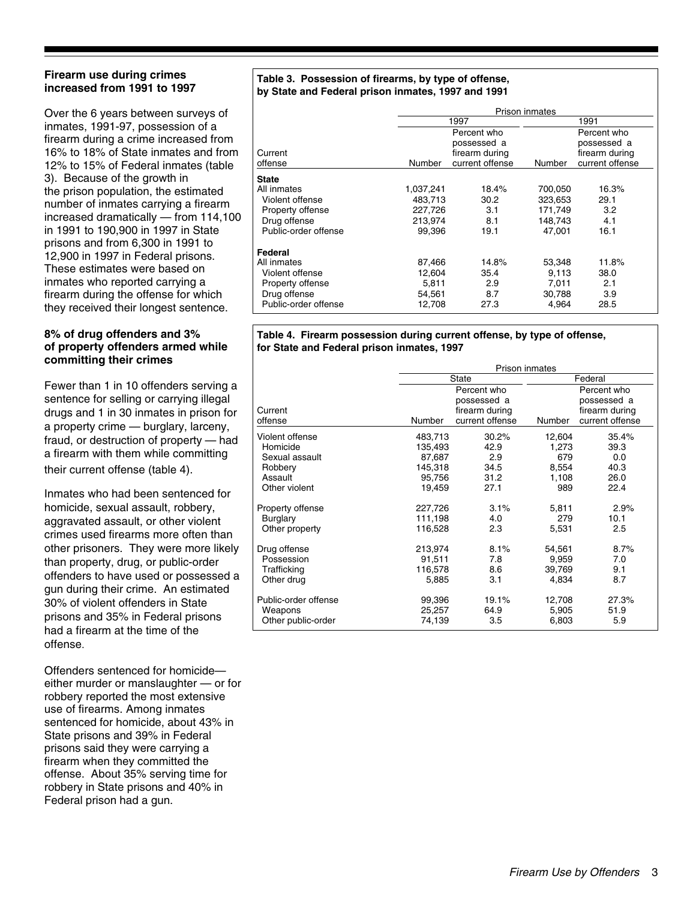#### **Firearm use during crimes increased from 1991 to 1997**

Over the 6 years between surveys of inmates, 1991-97, possession of a firearm during a crime increased from 16% to 18% of State inmates and from 12% to 15% of Federal inmates (table 3). Because of the growth in the prison population, the estimated number of inmates carrying a firearm increased dramatically — from 114,100 in 1991 to 190,900 in 1997 in State prisons and from 6,300 in 1991 to 12,900 in 1997 in Federal prisons. These estimates were based on inmates who reported carrying a firearm during the offense for which they received their longest sentence.

#### **8% of drug offenders and 3% of property offenders armed while committing their crimes**

Fewer than 1 in 10 offenders serving a sentence for selling or carrying illegal drugs and 1 in 30 inmates in prison for a property crime — burglary, larceny, fraud, or destruction of property — had a firearm with them while committing their current offense (table 4).

Inmates who had been sentenced for homicide, sexual assault, robbery, aggravated assault, or other violent crimes used firearms more often than other prisoners. They were more likely than property, drug, or public-order offenders to have used or possessed a gun during their crime. An estimated 30% of violent offenders in State prisons and 35% in Federal prisons had a firearm at the time of the offense.

Offenders sentenced for homicide either murder or manslaughter — or for robbery reported the most extensive use of firearms. Among inmates sentenced for homicide, about 43% in State prisons and 39% in Federal prisons said they were carrying a firearm when they committed the offense. About 35% serving time for robbery in State prisons and 40% in Federal prison had a gun.

#### **Table 3. Possession of firearms, by type of offense, by State and Federal prison inmates, 1997 and 1991**

|                      | Prison inmates |                 |         |                 |  |
|----------------------|----------------|-----------------|---------|-----------------|--|
|                      |                | 1997            | 1991    |                 |  |
|                      |                | Percent who     |         | Percent who     |  |
|                      |                | possessed a     |         | possessed a     |  |
| Current              |                | firearm during  |         | firearm during  |  |
| offense              | Number         | current offense | Number  | current offense |  |
| <b>State</b>         |                |                 |         |                 |  |
| All inmates          | 1,037,241      | 18.4%           | 700,050 | 16.3%           |  |
| Violent offense      | 483,713        | 30.2            | 323,653 | 29.1            |  |
| Property offense     | 227,726        | 3.1             | 171,749 | 3.2             |  |
| Drug offense         | 213.974        | 8.1             | 148.743 | 4.1             |  |
| Public-order offense | 99,396         | 19.1            | 47,001  | 16.1            |  |
| Federal              |                |                 |         |                 |  |
| All inmates          | 87,466         | 14.8%           | 53,348  | 11.8%           |  |
| Violent offense      | 12,604         | 35.4            | 9,113   | 38.0            |  |
| Property offense     | 5,811          | 2.9             | 7.011   | 2.1             |  |
| Drug offense         | 54,561         | 8.7             | 30,788  | 3.9             |  |
| Public-order offense | 12,708         | 27.3            | 4.964   | 28.5            |  |

#### **Table 4. Firearm possession during current offense, by type of offense, for State and Federal prison inmates, 1997**

|                      | Prison inmates |                 |        |                 |  |
|----------------------|----------------|-----------------|--------|-----------------|--|
|                      | <b>State</b>   |                 |        | Federal         |  |
|                      |                | Percent who     |        | Percent who     |  |
|                      |                | possessed a     |        | possessed a     |  |
| Current              |                | firearm during  |        | firearm during  |  |
| offense              | <b>Number</b>  | current offense | Number | current offense |  |
| Violent offense      | 483,713        | 30.2%           | 12,604 | 35.4%           |  |
| Homicide             | 135,493        | 42.9            | 1,273  | 39.3            |  |
| Sexual assault       | 87,687         | 2.9             | 679    | 0.0             |  |
| Robbery              | 145,318        | 34.5            | 8,554  | 40.3            |  |
| Assault              | 95,756         | 31.2            | 1,108  | 26.0            |  |
| Other violent        | 19,459         | 27.1            | 989    | 22.4            |  |
| Property offense     | 227,726        | 3.1%            | 5,811  | 2.9%            |  |
| Burglary             | 111,198        | 4.0             | 279    | 10.1            |  |
| Other property       | 116,528        | 2.3             | 5,531  | 2.5             |  |
| Drug offense         | 213,974        | 8.1%            | 54,561 | 8.7%            |  |
| Possession           | 91,511         | 7.8             | 9,959  | 7.0             |  |
| Trafficking          | 116,578        | 8.6             | 39,769 | 9.1             |  |
| Other drug           | 5,885          | 3.1             | 4,834  | 8.7             |  |
| Public-order offense | 99,396         | 19.1%           | 12,708 | 27.3%           |  |
| Weapons              | 25,257         | 64.9            | 5,905  | 51.9            |  |
| Other public-order   | 74,139         | 3.5             | 6,803  | 5.9             |  |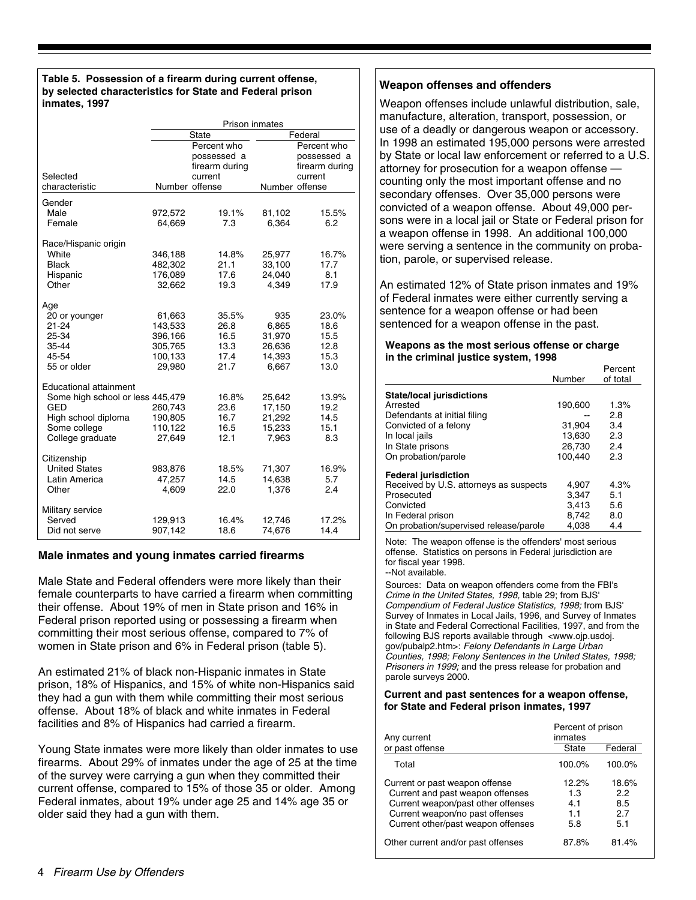#### **Table 5. Possession of a firearm during current offense, by selected characteristics for State and Federal prison inmates, 1997**

|                                  | Prison inmates |                |        |                |  |
|----------------------------------|----------------|----------------|--------|----------------|--|
|                                  | <b>State</b>   |                |        | Federal        |  |
|                                  |                | Percent who    |        | Percent who    |  |
|                                  |                | possessed a    |        | possessed a    |  |
|                                  |                | firearm during |        | firearm during |  |
| Selected                         |                | current        |        | current        |  |
| characteristic                   | Number offense |                |        | Number offense |  |
|                                  |                |                |        |                |  |
| Gender                           |                |                |        |                |  |
| Male                             | 972,572        | 19.1%          | 81,102 | 15.5%          |  |
| Female                           | 64,669         | 7.3            | 6.364  | 6.2            |  |
| Race/Hispanic origin             |                |                |        |                |  |
| White                            | 346,188        | 14.8%          | 25,977 | 16.7%          |  |
| <b>Black</b>                     | 482,302        | 21.1           | 33,100 | 17.7           |  |
| Hispanic                         | 176,089        | 17.6           | 24,040 | 8.1            |  |
| Other                            | 32,662         | 19.3           | 4,349  | 17.9           |  |
|                                  |                |                |        |                |  |
| Age                              |                |                |        |                |  |
| 20 or younger                    | 61,663         | 35.5%          | 935    | 23.0%          |  |
| $21 - 24$                        | 143,533        | 26.8           | 6,865  | 18.6           |  |
| 25-34                            | 396,166        | 16.5           | 31,970 | 15.5           |  |
| 35-44                            | 305,765        | 13.3           | 26,636 | 12.8           |  |
| 45-54                            | 100,133        | 17.4           | 14,393 | 15.3           |  |
| 55 or older                      | 29,980         | 21.7           | 6,667  | 13.0           |  |
| <b>Educational attainment</b>    |                |                |        |                |  |
| Some high school or less 445,479 |                | 16.8%          | 25,642 | 13.9%          |  |
| GED                              | 260,743        | 23.6           | 17,150 | 19.2           |  |
| High school diploma              | 190,805        | 16.7           | 21,292 | 14.5           |  |
| Some college                     | 110,122        | 16.5           | 15,233 | 15.1           |  |
| College graduate                 | 27,649         | 12.1           | 7,963  | 8.3            |  |
|                                  |                |                |        |                |  |
| Citizenship                      |                |                |        |                |  |
| <b>United States</b>             | 983,876        | 18.5%          | 71,307 | 16.9%          |  |
| Latin America                    | 47,257         | 14.5           | 14,638 | 5.7            |  |
| Other                            | 4,609          | 22.0           | 1,376  | 2.4            |  |
| Military service                 |                |                |        |                |  |
| Served                           | 129,913        | 16.4%          | 12,746 | 17.2%          |  |
| Did not serve                    | 907,142        | 18.6           | 74,676 | 14.4           |  |
|                                  |                |                |        |                |  |

#### **Male inmates and young inmates carried firearms**

Male State and Federal offenders were more likely than their female counterparts to have carried a firearm when committing their offense. About 19% of men in State prison and 16% in Federal prison reported using or possessing a firearm when committing their most serious offense, compared to 7% of women in State prison and 6% in Federal prison (table 5).

An estimated 21% of black non-Hispanic inmates in State prison, 18% of Hispanics, and 15% of white non-Hispanics said they had a gun with them while committing their most serious offense. About 18% of black and white inmates in Federal facilities and 8% of Hispanics had carried a firearm.

Young State inmates were more likely than older inmates to use firearms. About 29% of inmates under the age of 25 at the time of the survey were carrying a gun when they committed their current offense, compared to 15% of those 35 or older. Among Federal inmates, about 19% under age 25 and 14% age 35 or older said they had a gun with them.

#### **Weapon offenses and offenders**

Weapon offenses include unlawful distribution, sale, manufacture, alteration, transport, possession, or use of a deadly or dangerous weapon or accessory. In 1998 an estimated 195,000 persons were arrested by State or local law enforcement or referred to a U.S. attorney for prosecution for a weapon offense counting only the most important offense and no secondary offenses. Over 35,000 persons were convicted of a weapon offense. About 49,000 persons were in a local jail or State or Federal prison for a weapon offense in 1998. An additional 100,000 were serving a sentence in the community on probation, parole, or supervised release.

An estimated 12% of State prison inmates and 19% of Federal inmates were either currently serving a sentence for a weapon offense or had been sentenced for a weapon offense in the past.

#### **Weapons as the most serious offense or charge in the criminal justice system, 1998**

|                                        |         | Percent  |
|----------------------------------------|---------|----------|
|                                        | Number  | of total |
| <b>State/local jurisdictions</b>       |         |          |
| Arrested                               | 190,600 | 1.3%     |
| Defendants at initial filing           |         | 2.8      |
| Convicted of a felony                  | 31,904  | 3.4      |
| In local jails                         | 13,630  | 2.3      |
| In State prisons                       | 26.730  | 2.4      |
| On probation/parole                    | 100.440 | 2.3      |
| <b>Federal jurisdiction</b>            |         |          |
| Received by U.S. attorneys as suspects | 4,907   | 4.3%     |
| Prosecuted                             | 3,347   | 5.1      |
| Convicted                              | 3,413   | 5.6      |
| In Federal prison                      | 8,742   | 8.0      |
| On probation/supervised release/parole | 4.038   | 4.4      |

Note: The weapon offense is the offenders' most serious offense. Statistics on persons in Federal jurisdiction are for fiscal year 1998. --Not available.

Sources: Data on weapon offenders come from the FBI's *Crime in the United States, 1998,* table 29; from BJS' *Compendium of Federal Justice Statistics, 1998;* from BJS' Survey of Inmates in Local Jails, 1996, and Survey of Inmates in State and Federal Correctional Facilities, 1997, and from the following BJS reports available through <www.ojp.usdoj. gov/pubalp2.htm>: *Felony Defendants in Large Urban Counties, 1998; Felony Sentences in the United States, 1998; Prisoners in 1999;* and the press release for probation and parole surveys 2000.

#### **Current and past sentences for a weapon offense, for State and Federal prison inmates, 1997**

|                                    | Percent of prison |         |
|------------------------------------|-------------------|---------|
| Any current                        | inmates           |         |
| or past offense                    | <b>State</b>      | Federal |
| Total                              | 100.0%            | 100.0%  |
| Current or past weapon offense     | 12.2%             | 18.6%   |
| Current and past weapon offenses   | 1.3               | 2.2     |
| Current weapon/past other offenses | 4.1               | 8.5     |
| Current weapon/no past offenses    | 1.1               | 2.7     |
| Current other/past weapon offenses | 5.8               | 5.1     |
| Other current and/or past offenses | 87.8%             | 81.4%   |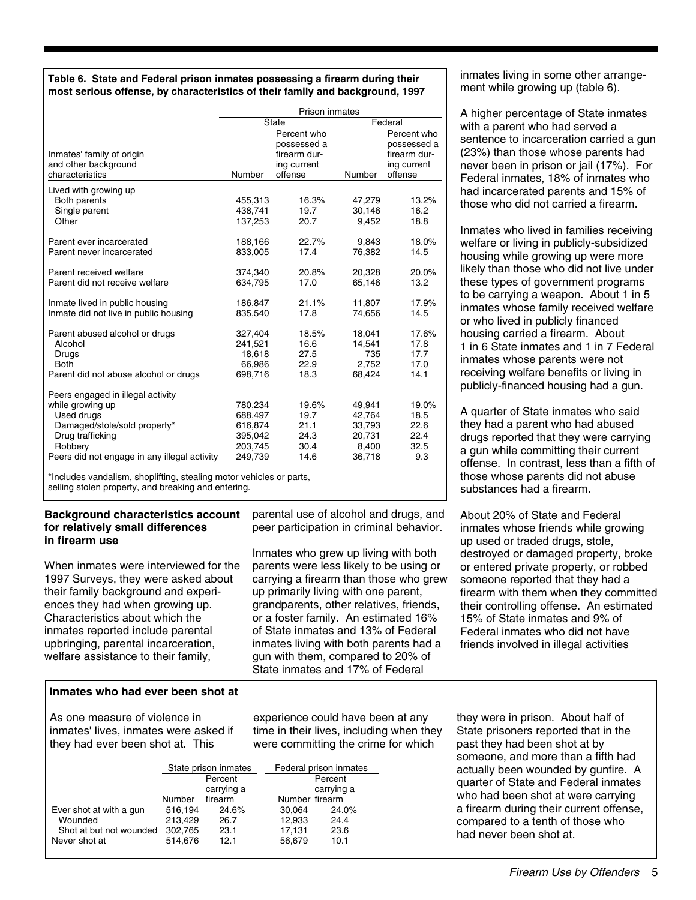#### **Table 6. State and Federal prison inmates possessing a firearm during their most serious offense, by characteristics of their family and background, 1997**

|                                                                                                                                                                                    | Prison inmates                                                 |                                                           |                                                         |                                                           |  |
|------------------------------------------------------------------------------------------------------------------------------------------------------------------------------------|----------------------------------------------------------------|-----------------------------------------------------------|---------------------------------------------------------|-----------------------------------------------------------|--|
|                                                                                                                                                                                    |                                                                | <b>State</b>                                              |                                                         | Federal                                                   |  |
| Inmates' family of origin<br>and other background                                                                                                                                  |                                                                | Percent who<br>possessed a<br>firearm dur-<br>ing current |                                                         | Percent who<br>possessed a<br>firearm dur-<br>ing current |  |
| characteristics                                                                                                                                                                    | Number                                                         | offense                                                   | Number                                                  | offense                                                   |  |
| Lived with growing up<br>Both parents<br>Single parent<br>Other                                                                                                                    | 455,313<br>438,741<br>137,253                                  | 16.3%<br>19.7<br>20.7                                     | 47,279<br>30,146<br>9.452                               | 13.2%<br>16.2<br>18.8                                     |  |
| Parent ever incarcerated<br>Parent never incarcerated                                                                                                                              | 188,166<br>833,005                                             | 22.7%<br>17.4                                             | 9.843<br>76,382                                         | 18.0%<br>14.5                                             |  |
| Parent received welfare<br>Parent did not receive welfare                                                                                                                          | 374,340<br>634,795                                             | 20.8%<br>17.0                                             | 20,328<br>65,146                                        | 20.0%<br>13.2                                             |  |
| Inmate lived in public housing<br>Inmate did not live in public housing                                                                                                            | 186,847<br>835,540                                             | 21.1%<br>17.8                                             | 11,807<br>74.656                                        | 17.9%<br>14.5                                             |  |
| Parent abused alcohol or drugs<br>Alcohol<br>Drugs<br><b>Both</b><br>Parent did not abuse alcohol or drugs                                                                         | 327,404<br>241.521<br>18,618<br>66,986<br>698,716              | 18.5%<br>16.6<br>27.5<br>22.9<br>18.3                     | 18.041<br>14.541<br>735<br>2.752<br>68,424              | 17.6%<br>17.8<br>17.7<br>17.0<br>14.1                     |  |
| Peers engaged in illegal activity<br>while growing up<br>Used drugs<br>Damaged/stole/sold property*<br>Drug trafficking<br>Robbery<br>Peers did not engage in any illegal activity | 780,234<br>688,497<br>616,874<br>395,042<br>203,745<br>249,739 | 19.6%<br>19.7<br>21.1<br>24.3<br>30.4<br>14.6             | 49,941<br>42,764<br>33,793<br>20,731<br>8,400<br>36,718 | 19.0%<br>18.5<br>22.6<br>22.4<br>32.5<br>9.3              |  |

\*Includes vandalism, shoplifting, stealing motor vehicles or parts, selling stolen property, and breaking and entering.

#### **Background characteristics account for relatively small differences in firearm use**

When inmates were interviewed for the 1997 Surveys, they were asked about their family background and experiences they had when growing up. Characteristics about which the inmates reported include parental upbringing, parental incarceration, welfare assistance to their family,

parental use of alcohol and drugs, and peer participation in criminal behavior.

Inmates who grew up living with both parents were less likely to be using or carrying a firearm than those who grew up primarily living with one parent, grandparents, other relatives, friends, or a foster family. An estimated 16% of State inmates and 13% of Federal inmates living with both parents had a gun with them, compared to 20% of State inmates and 17% of Federal

inmates living in some other arrangement while growing up (table 6).

A higher percentage of State inmates with a parent who had served a sentence to incarceration carried a gun (23%) than those whose parents had never been in prison or jail (17%). For Federal inmates, 18% of inmates who had incarcerated parents and 15% of those who did not carried a firearm.

Inmates who lived in families receiving welfare or living in publicly-subsidized housing while growing up were more likely than those who did not live under these types of government programs to be carrying a weapon. About 1 in 5 inmates whose family received welfare or who lived in publicly financed housing carried a firearm. About 1 in 6 State inmates and 1 in 7 Federal inmates whose parents were not receiving welfare benefits or living in publicly-financed housing had a gun.

A quarter of State inmates who said they had a parent who had abused drugs reported that they were carrying a gun while committing their current offense. In contrast, less than a fifth of those whose parents did not abuse substances had a firearm.

About 20% of State and Federal inmates whose friends while growing up used or traded drugs, stole, destroyed or damaged property, broke or entered private property, or robbed someone reported that they had a firearm with them when they committed their controlling offense. An estimated 15% of State inmates and 9% of Federal inmates who did not have friends involved in illegal activities

#### **Inmates who had ever been shot at**

As one measure of violence in inmates' lives, inmates were asked if they had ever been shot at. This

experience could have been at any time in their lives, including when they were committing the crime for which

| State prison inmates               |         |        | Federal prison inmates |  |  |
|------------------------------------|---------|--------|------------------------|--|--|
| Percent                            |         |        | Percent                |  |  |
| carrying a                         |         |        | carrying a             |  |  |
| Number                             | firearm |        |                        |  |  |
| 516,194                            | 24.6%   | 30,064 | 24.0%                  |  |  |
| 213.429                            | 26.7    | 12,933 | 24.4                   |  |  |
| 302,765<br>Shot at but not wounded | 23.1    | 17,131 | 23.6                   |  |  |
| 514,676                            | 12.1    | 56,679 | 10.1                   |  |  |
|                                    |         |        | Number firearm         |  |  |

they were in prison. About half of State prisoners reported that in the past they had been shot at by someone, and more than a fifth had actually been wounded by gunfire. A quarter of State and Federal inmates who had been shot at were carrying a firearm during their current offense, compared to a tenth of those who had never been shot at.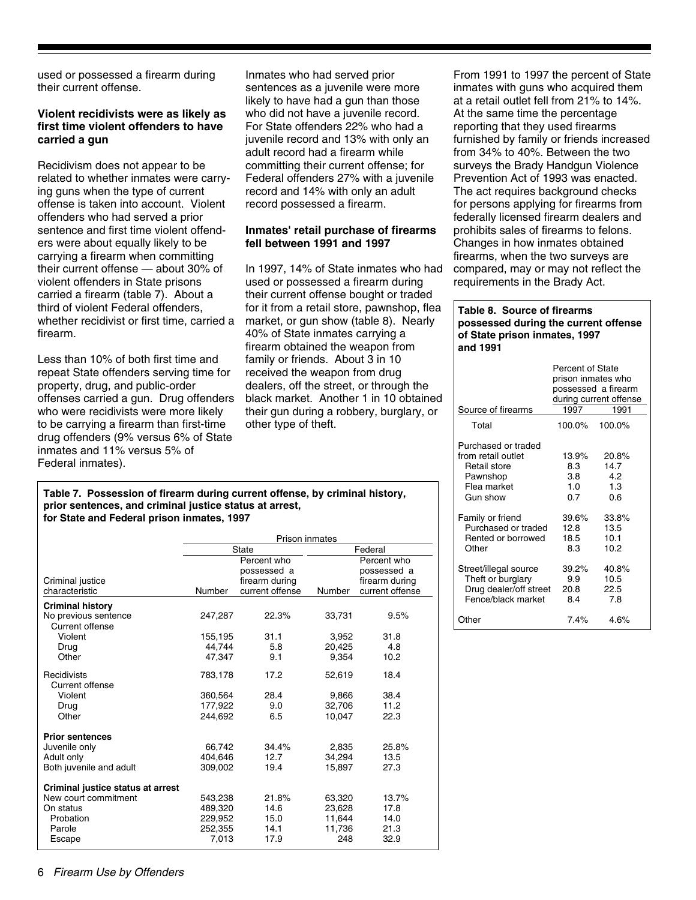used or possessed a firearm during their current offense.

#### **Violent recidivists were as likely as first time violent offenders to have carried a gun**

Recidivism does not appear to be related to whether inmates were carrying guns when the type of current offense is taken into account. Violent offenders who had served a prior sentence and first time violent offenders were about equally likely to be carrying a firearm when committing their current offense — about 30% of violent offenders in State prisons carried a firearm (table 7). About a third of violent Federal offenders, whether recidivist or first time, carried a firearm.

Less than 10% of both first time and repeat State offenders serving time for property, drug, and public-order offenses carried a gun. Drug offenders who were recidivists were more likely to be carrying a firearm than first-time drug offenders (9% versus 6% of State inmates and 11% versus 5% of Federal inmates).

Inmates who had served prior sentences as a juvenile were more likely to have had a gun than those who did not have a juvenile record. For State offenders 22% who had a juvenile record and 13% with only an adult record had a firearm while committing their current offense; for Federal offenders 27% with a juvenile record and 14% with only an adult record possessed a firearm.

#### **Inmates' retail purchase of firearms fell between 1991 and 1997**

In 1997, 14% of State inmates who had used or possessed a firearm during their current offense bought or traded for it from a retail store, pawnshop, flea market, or gun show (table 8). Nearly 40% of State inmates carrying a firearm obtained the weapon from family or friends. About 3 in 10 received the weapon from drug dealers, off the street, or through the black market. Another 1 in 10 obtained their gun during a robbery, burglary, or other type of theft.

**Table 7. Possession of firearm during current offense, by criminal history, prior sentences, and criminal justice status at arrest, for State and Federal prison inmates, 1997** 

|                                   | Prison inmates |                 |         |                 |  |  |
|-----------------------------------|----------------|-----------------|---------|-----------------|--|--|
|                                   |                | State           | Federal |                 |  |  |
|                                   |                | Percent who     |         | Percent who     |  |  |
|                                   |                | possessed a     |         | possessed a     |  |  |
| Criminal justice                  |                | firearm during  |         | firearm during  |  |  |
| characteristic                    | Number         | current offense | Number  | current offense |  |  |
| <b>Criminal history</b>           |                |                 |         |                 |  |  |
| No previous sentence              | 247,287        | 22.3%           | 33,731  | 9.5%            |  |  |
| Current offense                   |                |                 |         |                 |  |  |
| Violent                           | 155,195        | 31.1            | 3.952   | 31.8            |  |  |
| Drug                              | 44.744         | 5.8             | 20,425  | 4.8             |  |  |
| Other                             | 47.347         | 9.1             | 9.354   | 10.2            |  |  |
| Recidivists                       | 783,178        | 17.2            | 52,619  | 18.4            |  |  |
| Current offense                   |                |                 |         |                 |  |  |
| Violent                           | 360.564        | 28.4            | 9.866   | 38.4            |  |  |
| Drug                              | 177,922        | 9.0             | 32,706  | 11.2            |  |  |
| Other                             | 244.692        | 6.5             | 10.047  | 22.3            |  |  |
| <b>Prior sentences</b>            |                |                 |         |                 |  |  |
| Juvenile only                     | 66.742         | 34.4%           | 2.835   | 25.8%           |  |  |
| Adult only                        | 404.646        | 12.7            | 34.294  | 13.5            |  |  |
| Both juvenile and adult           | 309.002        | 19.4            | 15,897  | 27.3            |  |  |
| Criminal justice status at arrest |                |                 |         |                 |  |  |
| New court commitment              | 543,238        | 21.8%           | 63,320  | 13.7%           |  |  |
| On status                         | 489.320        | 14.6            | 23,628  | 17.8            |  |  |
| Probation                         | 229,952        | 15.0            | 11,644  | 14.0            |  |  |
| Parole                            | 252.355        | 14.1            | 11,736  | 21.3            |  |  |
| Escape                            | 7,013          | 17.9            | 248     | 32.9            |  |  |

From 1991 to 1997 the percent of State inmates with guns who acquired them at a retail outlet fell from 21% to 14%. At the same time the percentage reporting that they used firearms furnished by family or friends increased from 34% to 40%. Between the two surveys the Brady Handgun Violence Prevention Act of 1993 was enacted. The act requires background checks for persons applying for firearms from federally licensed firearm dealers and prohibits sales of firearms to felons. Changes in how inmates obtained firearms, when the two surveys are compared, may or may not reflect the requirements in the Brady Act.

#### **Table 8. Source of firearms possessed during the current offense of State prison inmates, 1997 and 1991**

| Source of firearms                                                                               | Percent of State<br>prison inmates who<br>1997 | possessed a firearm<br>during current offense<br>1991 |
|--------------------------------------------------------------------------------------------------|------------------------------------------------|-------------------------------------------------------|
| Total                                                                                            | 100.0%                                         | 100.0%                                                |
| Purchased or traded<br>from retail outlet<br>Retail store<br>Pawnshop<br>Flea market<br>Gun show | 13.9%<br>8.3<br>3.8<br>1.0<br>0.7              | 20.8%<br>14.7<br>4.2<br>1.3<br>0.6                    |
| Family or friend<br>Purchased or traded<br>Rented or borrowed<br>Other                           | 39.6%<br>12.8<br>18.5<br>8.3                   | 33.8%<br>13.5<br>10.1<br>10.2                         |
| Street/illegal source<br>Theft or burglary<br>Drug dealer/off street<br>Fence/black market       | 39.2%<br>9.9<br>20.8<br>8.4                    | 40.8%<br>10.5<br>22.5<br>7.8                          |
| Other                                                                                            | 7.4%                                           | 4.6%                                                  |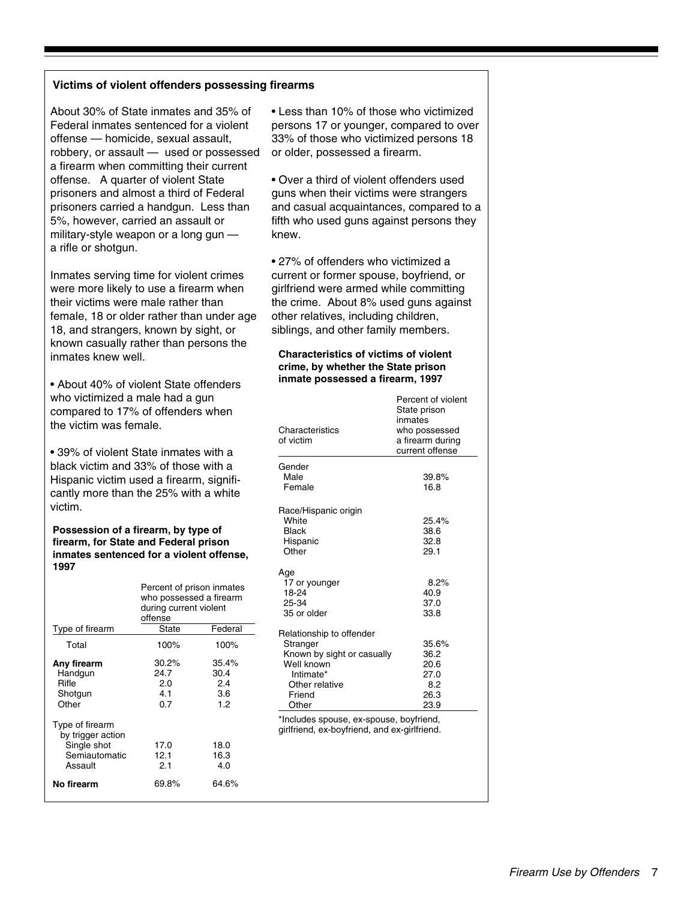#### **Victims of violent offenders possessing firearms**

About 30% of State inmates and 35% of Federal inmates sentenced for a violent offense — homicide, sexual assault, robbery, or assault — used or possessed a firearm when committing their current offense. A quarter of violent State prisoners and almost a third of Federal prisoners carried a handgun. Less than 5%, however, carried an assault or military-style weapon or a long gun a rifle or shotgun.

Inmates serving time for violent crimes were more likely to use a firearm when their victims were male rather than female, 18 or older rather than under age 18, and strangers, known by sight, or known casually rather than persons the inmates knew well.

• About 40% of violent State offenders who victimized a male had a gun compared to 17% of offenders when the victim was female.

• 39% of violent State inmates with a black victim and 33% of those with a Hispanic victim used a firearm, significantly more than the 25% with a white victim.

#### **Possession of a firearm, by type of firearm, for State and Federal prison inmates sentenced for a violent offense, 1997**

|                                                                                 | Percent of prison inmates<br>who possessed a firearm<br>during current violent<br>offense |                                    |  |  |
|---------------------------------------------------------------------------------|-------------------------------------------------------------------------------------------|------------------------------------|--|--|
| Type of firearm                                                                 | State                                                                                     | Federal                            |  |  |
| Total                                                                           | 100%                                                                                      | 100%                               |  |  |
| Any firearm<br>Handgun<br>Rifle<br>Shotgun<br>Other                             | 30.2%<br>24.7<br>2.0<br>4.1<br>0.7                                                        | 35.4%<br>30.4<br>2.4<br>3.6<br>1.2 |  |  |
| Type of firearm<br>by trigger action<br>Single shot<br>Semiautomatic<br>Assault | 17.0<br>12.1<br>2.1                                                                       | 18.0<br>16.3<br>4.0                |  |  |
| No firearm                                                                      | 69.8%                                                                                     | 64.6%                              |  |  |

• Less than 10% of those who victimized persons 17 or younger, compared to over 33% of those who victimized persons 18 or older, possessed a firearm.

• Over a third of violent offenders used guns when their victims were strangers and casual acquaintances, compared to a fifth who used guns against persons they knew.

• 27% of offenders who victimized a current or former spouse, boyfriend, or girlfriend were armed while committing the crime. About 8% used guns against other relatives, including children, siblings, and other family members.

#### **Characteristics of victims of violent crime, by whether the State prison inmate possessed a firearm, 1997**

| Characteristics<br>of victim                                                                                                       | Percent of violent<br>State prison<br>inmates<br>who possessed<br>a firearm during<br>current offense |
|------------------------------------------------------------------------------------------------------------------------------------|-------------------------------------------------------------------------------------------------------|
| Gender<br>Male<br>Female                                                                                                           | 39.8%<br>16.8                                                                                         |
| Race/Hispanic origin<br>White<br><b>Black</b><br>Hispanic<br>Other                                                                 | 25.4%<br>38.6<br>32.8<br>29.1                                                                         |
| Age<br>17 or younger<br>18-24<br>25-34<br>35 or older                                                                              | 8.2%<br>40.9<br>37.0<br>33.8                                                                          |
| Relationship to offender<br>Stranger<br>Known by sight or casually<br>Well known<br>Intimate*<br>Other relative<br>Friend<br>Other | 35.6%<br>36.2<br>20.6<br>27.0<br>8.2<br>26.3<br>23.9                                                  |
| *Includes spouse, ex-spouse, boyfriend,                                                                                            |                                                                                                       |

girlfriend, ex-boyfriend, and ex-girlfriend.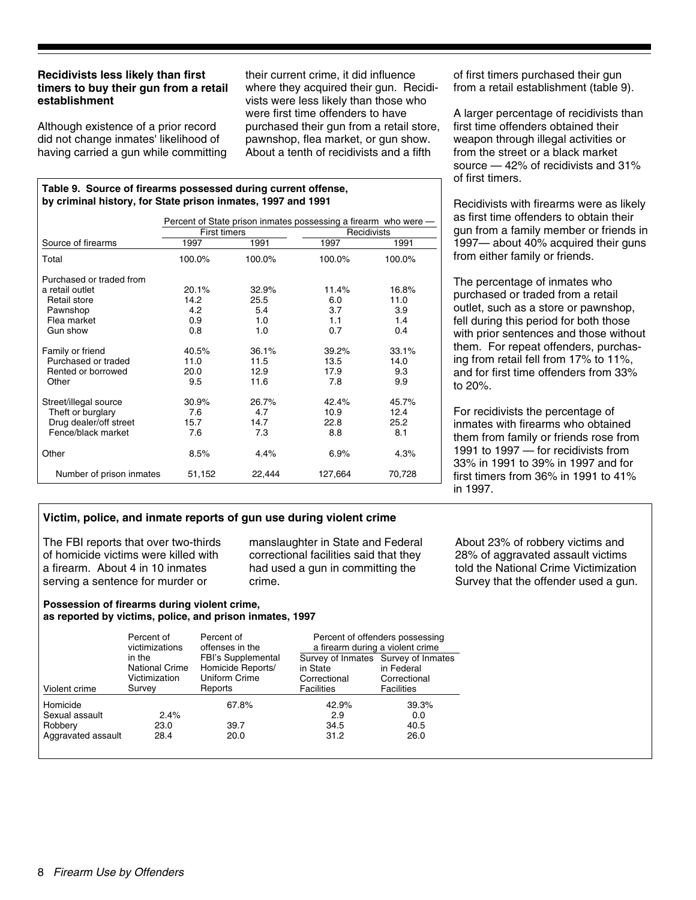#### **Recidivists less likely than first timers to buy their gun from a retail establishment**

Although existence of a prior record did not change inmates' likelihood of having carried a gun while committing

their current crime, it did influence where they acquired their gun. Recidivists were less likely than those who were first time offenders to have purchased their gun from a retail store. pawnshop, flea market, or gun show. About a tenth of recidivists and a fifth

**Table 9. Source of firearms possessed during current offense, by criminal history, for State prison inmates, 1997 and 1991** 

|                          | Percent of State prison inmates possessing a firearm who were - |        |         |             |  |
|--------------------------|-----------------------------------------------------------------|--------|---------|-------------|--|
|                          | <b>First timers</b>                                             |        |         | Recidivists |  |
| Source of firearms       | 1997                                                            | 1991   | 1997    | 1991        |  |
| Total                    | 100.0%                                                          | 100.0% | 100.0%  | 100.0%      |  |
| Purchased or traded from |                                                                 |        |         |             |  |
| a retail outlet          | 20.1%                                                           | 32.9%  | 11.4%   | 16.8%       |  |
| Retail store             | 14.2                                                            | 25.5   | 6.0     | 11.0        |  |
| Pawnshop                 | 4.2                                                             | 5.4    | 3.7     | 3.9         |  |
| Flea market              | 0.9                                                             | 1.0    | 1.1     | 1.4         |  |
| Gun show                 | 0.8                                                             | 1.0    | 0.7     | 0.4         |  |
| Family or friend         | 40.5%                                                           | 36.1%  | 39.2%   | 33.1%       |  |
| Purchased or traded      | 11.0                                                            | 11.5   | 13.5    | 14.0        |  |
| Rented or borrowed       | 20.0                                                            | 12.9   | 17.9    | 9.3         |  |
| Other                    | 9.5                                                             | 11.6   | 7.8     | 9.9         |  |
| Street/illegal source    | 30.9%                                                           | 26.7%  | 42.4%   | 45.7%       |  |
| Theft or burglary        | 7.6                                                             | 4.7    | 10.9    | 12.4        |  |
| Drug dealer/off street   | 15.7                                                            | 14.7   | 22.8    | 25.2        |  |
| Fence/black market       | 7.6                                                             | 7.3    | 8.8     | 8.1         |  |
| Other                    | 8.5%                                                            | 4.4%   | 6.9%    | 4.3%        |  |
| Number of prison inmates | 51,152                                                          | 22,444 | 127,664 | 70,728      |  |

**Victim, police, and inmate reports of gun use during violent crime**

The FBI reports that over two-thirds of homicide victims were killed with a firearm. About 4 in 10 inmates serving a sentence for murder or

manslaughter in State and Federal correctional facilities said that they had used a gun in committing the crime.

of first timers purchased their gun from a retail establishment (table 9).

A larger percentage of recidivists than first time offenders obtained their weapon through illegal activities or from the street or a black market source — 42% of recidivists and 31% of first timers.

Recidivists with firearms were as likely as first time offenders to obtain their gun from a family member or friends in 1997— about 40% acquired their guns from either family or friends.

The percentage of inmates who purchased or traded from a retail outlet, such as a store or pawnshop, fell during this period for both those with prior sentences and those without them. For repeat offenders, purchasing from retail fell from 17% to 11%, and for first time offenders from 33% to 20%.

For recidivists the percentage of inmates with firearms who obtained them from family or friends rose from 1991 to 1997 — for recidivists from 33% in 1991 to 39% in 1997 and for first timers from 36% in 1991 to 41% in 1997.

About 23% of robbery victims and 28% of aggravated assault victims told the National Crime Victimization Survey that the offender used a gun.

#### **Possession of firearms during violent crime, as reported by victims, police, and prison inmates, 1997**

|                    | Percent of<br>victimizations           | Percent of<br>offenses in the      | a firearm during a violent crime | Percent of offenders possessing     |
|--------------------|----------------------------------------|------------------------------------|----------------------------------|-------------------------------------|
|                    | in the                                 | FBI's Supplemental                 |                                  | Survey of Inmates Survey of Inmates |
|                    | <b>National Crime</b><br>Victimization | Homicide Reports/<br>Uniform Crime | in State                         | in Federal                          |
|                    |                                        |                                    | Correctional                     | Correctional                        |
| Violent crime      | Survey                                 | Reports                            | <b>Facilities</b>                | <b>Facilities</b>                   |
| Homicide           |                                        | 67.8%                              | 42.9%                            | 39.3%                               |
| Sexual assault     | 2.4%                                   |                                    | 2.9                              | 0.0                                 |
| Robbery            | 23.0                                   | 39.7                               | 34.5                             | 40.5                                |
| Aggravated assault | 28.4                                   | 20.0                               | 31.2                             | 26.0                                |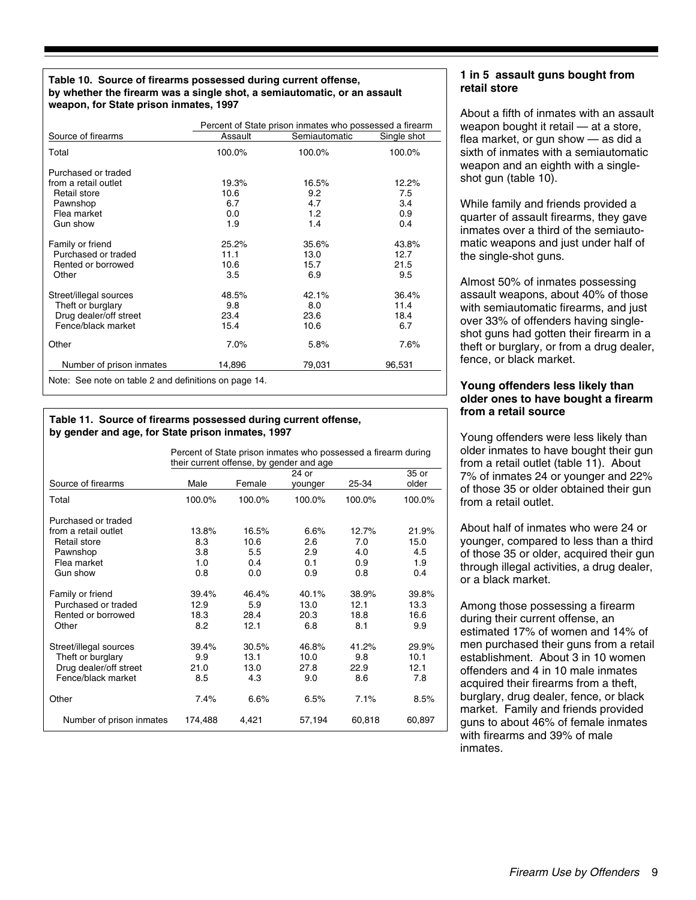#### **Table 10. Source of firearms possessed during current offense, by whether the firearm was a single shot, a semiautomatic, or an assault weapon, for State prison inmates, 1997**

| Percent of State prison inmates who possessed a firearm |         |               |             |  |  |
|---------------------------------------------------------|---------|---------------|-------------|--|--|
| Source of firearms                                      | Assault | Semiautomatic | Single shot |  |  |
| Total                                                   | 100.0%  | 100.0%        | 100.0%      |  |  |
| Purchased or traded                                     |         |               |             |  |  |
| from a retail outlet                                    | 19.3%   | 16.5%         | 12.2%       |  |  |
| Retail store                                            | 10.6    | 9.2           | 7.5         |  |  |
| Pawnshop                                                | 6.7     | 4.7           | 3.4         |  |  |
| Flea market                                             | 0.0     | 1.2           | 0.9         |  |  |
| Gun show                                                | 1.9     | 1.4           | 0.4         |  |  |
| Family or friend                                        | 25.2%   | 35.6%         | 43.8%       |  |  |
| Purchased or traded                                     | 11.1    | 13.0          | 12.7        |  |  |
| Rented or borrowed                                      | 10.6    | 15.7          | 21.5        |  |  |
| Other                                                   | 3.5     | 6.9           | 9.5         |  |  |
| Street/illegal sources                                  | 48.5%   | 42.1%         | 36.4%       |  |  |
| Theft or burglary                                       | 9.8     | 8.0           | 11.4        |  |  |
| Drug dealer/off street                                  | 23.4    | 23.6          | 18.4        |  |  |
| Fence/black market                                      | 15.4    | 10.6          | 6.7         |  |  |
| Other                                                   | 7.0%    | 5.8%          | 7.6%        |  |  |
| Number of prison inmates                                | 14,896  | 79,031        | 96,531      |  |  |
| Note: See note on table 2 and definitions on page 14.   |         |               |             |  |  |

#### **Table 11. Source of firearms possessed during current offense, by gender and age, for State prison inmates, 1997**

|                          | their current offense, by gender and age |        | Percent of State prison inmates who possessed a firearm during |        |        |
|--------------------------|------------------------------------------|--------|----------------------------------------------------------------|--------|--------|
|                          |                                          |        | 24 or                                                          |        | 35 or  |
| Source of firearms       | Male                                     | Female | younger                                                        | 25-34  | older  |
| Total                    | 100.0%                                   | 100.0% | 100.0%                                                         | 100.0% | 100.0% |
| Purchased or traded      |                                          |        |                                                                |        |        |
| from a retail outlet     | 13.8%                                    | 16.5%  | 6.6%                                                           | 12.7%  | 21.9%  |
| Retail store             | 8.3                                      | 10.6   | 2.6                                                            | 7.0    | 15.0   |
| Pawnshop                 | 3.8                                      | 5.5    | 2.9                                                            | 4.0    | 4.5    |
| Flea market              | 1.0                                      | 0.4    | 0.1                                                            | 0.9    | 1.9    |
| Gun show                 | 0.8                                      | 0.0    | 0.9                                                            | 0.8    | 0.4    |
| Family or friend         | 39.4%                                    | 46.4%  | 40.1%                                                          | 38.9%  | 39.8%  |
| Purchased or traded      | 12.9                                     | 5.9    | 13.0                                                           | 12.1   | 13.3   |
| Rented or borrowed       | 18.3                                     | 28.4   | 20.3                                                           | 18.8   | 16.6   |
| Other                    | 8.2                                      | 12.1   | 6.8                                                            | 8.1    | 9.9    |
| Street/illegal sources   | 39.4%                                    | 30.5%  | 46.8%                                                          | 41.2%  | 29.9%  |
| Theft or burglary        | 9.9                                      | 13.1   | 10.0                                                           | 9.8    | 10.1   |
| Drug dealer/off street   | 21.0                                     | 13.0   | 27.8                                                           | 22.9   | 12.1   |
| Fence/black market       | 8.5                                      | 4.3    | 9.0                                                            | 8.6    | 7.8    |
| Other                    | 7.4%                                     | 6.6%   | 6.5%                                                           | 7.1%   | 8.5%   |
| Number of prison inmates | 174,488                                  | 4,421  | 57,194                                                         | 60,818 | 60,897 |

#### **1 in 5 assault guns bought from retail store**

About a fifth of inmates with an assault weapon bought it retail — at a store, flea market, or gun show — as did a sixth of inmates with a semiautomatic weapon and an eighth with a singleshot gun (table 10).

While family and friends provided a quarter of assault firearms, they gave inmates over a third of the semiautomatic weapons and just under half of the single-shot guns.

Almost 50% of inmates possessing assault weapons, about 40% of those with semiautomatic firearms, and just over 33% of offenders having singleshot guns had gotten their firearm in a theft or burglary, or from a drug dealer, fence, or black market.

#### **Young offenders less likely than older ones to have bought a firearm from a retail source**

Young offenders were less likely than older inmates to have bought their gun from a retail outlet (table 11). About 7% of inmates 24 or younger and 22% of those 35 or older obtained their gun from a retail outlet.

About half of inmates who were 24 or younger, compared to less than a third of those 35 or older, acquired their gun through illegal activities, a drug dealer, or a black market.

Among those possessing a firearm during their current offense, an estimated 17% of women and 14% of men purchased their guns from a retail establishment. About 3 in 10 women offenders and 4 in 10 male inmates acquired their firearms from a theft, burglary, drug dealer, fence, or black market. Family and friends provided guns to about 46% of female inmates with firearms and 39% of male inmates.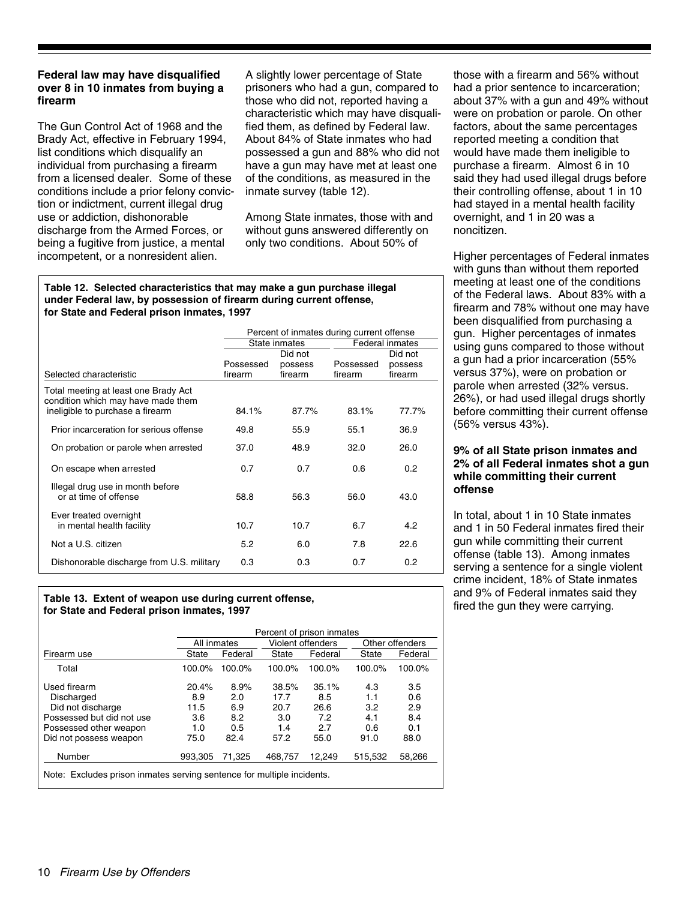#### **Federal law may have disqualified over 8 in 10 inmates from buying a firearm**

The Gun Control Act of 1968 and the Brady Act, effective in February 1994, list conditions which disqualify an individual from purchasing a firearm from a licensed dealer. Some of these conditions include a prior felony conviction or indictment, current illegal drug use or addiction, dishonorable discharge from the Armed Forces, or being a fugitive from justice, a mental incompetent, or a nonresident alien.

A slightly lower percentage of State prisoners who had a gun, compared to those who did not, reported having a characteristic which may have disqualified them, as defined by Federal law. About 84% of State inmates who had possessed a gun and 88% who did not have a gun may have met at least one of the conditions, as measured in the inmate survey (table 12).

Among State inmates, those with and without guns answered differently on only two conditions. About 50% of

**Table 12. Selected characteristics that may make a gun purchase illegal under Federal law, by possession of firearm during current offense, for State and Federal prison inmates, 1997**

|                                                                                                                | Percent of inmates during current offense |               |                 |         |  |
|----------------------------------------------------------------------------------------------------------------|-------------------------------------------|---------------|-----------------|---------|--|
|                                                                                                                |                                           | State inmates | Federal inmates |         |  |
|                                                                                                                |                                           | Did not       |                 | Did not |  |
|                                                                                                                | Possessed                                 | possess       | Possessed       | possess |  |
| Selected characteristic                                                                                        | firearm                                   | firearm       | firearm         | firearm |  |
| Total meeting at least one Brady Act<br>condition which may have made them<br>ineligible to purchase a firearm | 84.1%                                     | 87.7%         | 83.1%           | 77.7%   |  |
| Prior incarceration for serious offense                                                                        | 49.8                                      | 55.9          | 55.1            | 36.9    |  |
| On probation or parole when arrested                                                                           | 37.0                                      | 48.9          | 32.0            | 26.0    |  |
| On escape when arrested                                                                                        | 0.7                                       | 0.7           | 0.6             | 0.2     |  |
| Illegal drug use in month before<br>or at time of offense                                                      | 58.8                                      | 56.3          | 56.0            | 43.0    |  |
| Ever treated overnight<br>in mental health facility                                                            | 10.7                                      | 10.7          | 6.7             | 4.2     |  |
| Not a U.S. citizen                                                                                             | 5.2                                       | 6.0           | 7.8             | 22.6    |  |
| Dishonorable discharge from U.S. military                                                                      | 0.3                                       | 0.3           | 0.7             | 0.2     |  |

#### **Table 13. Extent of weapon use during current offense, for State and Federal prison inmates, 1997**

|                                                                        | Percent of prison inmates |         |                   |         |         |                 |
|------------------------------------------------------------------------|---------------------------|---------|-------------------|---------|---------|-----------------|
|                                                                        | All inmates               |         | Violent offenders |         |         | Other offenders |
| Firearm use                                                            | State                     | Federal | State             | Federal | State   | Federal         |
| Total                                                                  | 100.0%                    | 100.0%  | 100.0%            | 100.0%  | 100.0%  | 100.0%          |
| Used firearm                                                           | 20.4%                     | 8.9%    | 38.5%             | 35.1%   | 4.3     | 3.5             |
| Discharged                                                             | 8.9                       | 2.0     | 17.7              | 8.5     | 1.1     | 0.6             |
| Did not discharge                                                      | 11.5                      | 6.9     | 20.7              | 26.6    | 3.2     | 2.9             |
| Possessed but did not use                                              | 3.6                       | 8.2     | 3.0               | 7.2     | 4.1     | 8.4             |
| Possessed other weapon                                                 | 1.0                       | 0.5     | 1.4               | 2.7     | 0.6     | 0.1             |
| Did not possess weapon                                                 | 75.0                      | 82.4    | 57.2              | 55.0    | 91.0    | 88.0            |
| Number                                                                 | 993.305                   | 71.325  | 468.757           | 12.249  | 515,532 | 58,266          |
| Note: Excludes prison inmates serving sentence for multiple incidents. |                           |         |                   |         |         |                 |

those with a firearm and 56% without had a prior sentence to incarceration; about 37% with a gun and 49% without were on probation or parole. On other factors, about the same percentages reported meeting a condition that would have made them ineligible to purchase a firearm. Almost 6 in 10 said they had used illegal drugs before their controlling offense, about 1 in 10 had stayed in a mental health facility overnight, and 1 in 20 was a noncitizen.

Higher percentages of Federal inmates with guns than without them reported meeting at least one of the conditions of the Federal laws. About 83% with a firearm and 78% without one may have been disqualified from purchasing a gun. Higher percentages of inmates using guns compared to those without a gun had a prior incarceration (55% versus 37%), were on probation or parole when arrested (32% versus. 26%), or had used illegal drugs shortly before committing their current offense (56% versus 43%).

#### **9% of all State prison inmates and 2% of all Federal inmates shot a gun while committing their current offense**

In total, about 1 in 10 State inmates and 1 in 50 Federal inmates fired their gun while committing their current offense (table 13). Among inmates serving a sentence for a single violent crime incident, 18% of State inmates and 9% of Federal inmates said they fired the gun they were carrying.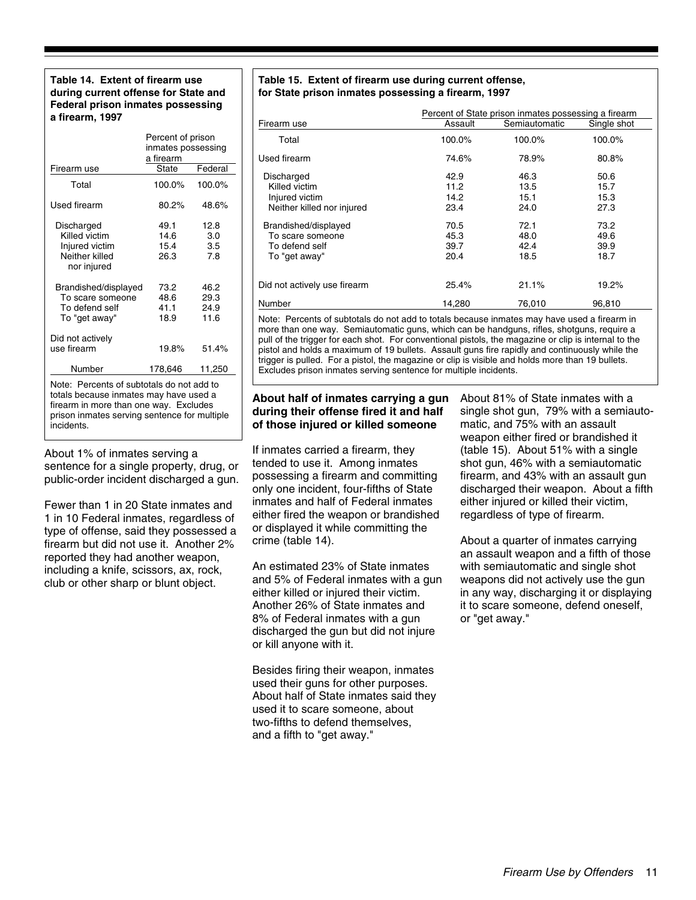**Table 14. Extent of firearm use during current offense for State and Federal prison inmates possessing a firearm, 1997** 

|                                                                                                        | Percent of prison<br>inmates possessing<br>a firearm |                                   |
|--------------------------------------------------------------------------------------------------------|------------------------------------------------------|-----------------------------------|
| Firearm use                                                                                            | State                                                | Federal                           |
| Total                                                                                                  | 100.0%                                               | 100.0%                            |
| Used firearm                                                                                           | 80.2%                                                | 48.6%                             |
| Discharged<br>Killed victim<br>Injured victim<br>Neither killed<br>nor injured<br>Brandished/displayed | 49.1<br>14.6<br>15.4<br>26.3<br>73.2                 | 12.8<br>3.0<br>3.5<br>7.8<br>46.2 |
| To scare someone<br>To defend self<br>To "get away"                                                    | 48.6<br>41.1<br>18.9                                 | 29.3<br>24.9<br>11.6              |
| Did not actively<br>use firearm                                                                        | 19.8%                                                | 51.4%                             |
| Number                                                                                                 | 178,646                                              | 11,250                            |
| Note: Percents of subtotals do not add to                                                              |                                                      |                                   |

totals because inmates may have used a firearm in more than one way. Excludes prison inmates serving sentence for multiple incidents.

About 1% of inmates serving a sentence for a single property, drug, or public-order incident discharged a gun.

Fewer than 1 in 20 State inmates and 1 in 10 Federal inmates, regardless of type of offense, said they possessed a firearm but did not use it. Another 2% reported they had another weapon, including a knife, scissors, ax, rock, club or other sharp or blunt object.

#### **Table 15. Extent of firearm use during current offense, for State prison inmates possessing a firearm, 1997**

|                              | Percent of State prison inmates possessing a firearm |               |             |  |  |  |
|------------------------------|------------------------------------------------------|---------------|-------------|--|--|--|
| Firearm use                  | Assault                                              | Semiautomatic | Single shot |  |  |  |
| Total                        | 100.0%                                               | 100.0%        | 100.0%      |  |  |  |
| Used firearm                 | 74.6%                                                | 78.9%         | 80.8%       |  |  |  |
| Discharged                   | 42.9                                                 | 46.3          | 50.6        |  |  |  |
| Killed victim                | 11.2                                                 | 13.5          | 15.7        |  |  |  |
| Injured victim               | 14.2                                                 | 15.1          | 15.3        |  |  |  |
| Neither killed nor injured   | 23.4                                                 | 24.0          | 27.3        |  |  |  |
| Brandished/displayed         | 70.5                                                 | 72.1          | 73.2        |  |  |  |
| To scare someone             | 45.3                                                 | 48.0          | 49.6        |  |  |  |
| To defend self               | 39.7                                                 | 42.4          | 39.9        |  |  |  |
| To "get away"                | 20.4                                                 | 18.5          | 18.7        |  |  |  |
| Did not actively use firearm | 25.4%                                                | 21.1%         | 19.2%       |  |  |  |
| Number                       | 14,280                                               | 76,010        | 96,810      |  |  |  |

Note: Percents of subtotals do not add to totals because inmates may have used a firearm in more than one way. Semiautomatic guns, which can be handguns, rifles, shotguns, require a pull of the trigger for each shot. For conventional pistols, the magazine or clip is internal to the pistol and holds a maximum of 19 bullets. Assault guns fire rapidly and continuously while the trigger is pulled. For a pistol, the magazine or clip is visible and holds more than 19 bullets. Excludes prison inmates serving sentence for multiple incidents.

#### **About half of inmates carrying a gun during their offense fired it and half of those injured or killed someone**

If inmates carried a firearm, they tended to use it. Among inmates possessing a firearm and committing only one incident, four-fifths of State inmates and half of Federal inmates either fired the weapon or brandished or displayed it while committing the crime (table 14).

An estimated 23% of State inmates and 5% of Federal inmates with a gun either killed or injured their victim. Another 26% of State inmates and 8% of Federal inmates with a gun discharged the gun but did not injure or kill anyone with it.

Besides firing their weapon, inmates used their guns for other purposes. About half of State inmates said they used it to scare someone, about two-fifths to defend themselves, and a fifth to "get away."

About 81% of State inmates with a single shot gun, 79% with a semiautomatic, and 75% with an assault weapon either fired or brandished it (table 15). About 51% with a single shot gun, 46% with a semiautomatic firearm, and 43% with an assault gun discharged their weapon. About a fifth either injured or killed their victim, regardless of type of firearm.

About a quarter of inmates carrying an assault weapon and a fifth of those with semiautomatic and single shot weapons did not actively use the gun in any way, discharging it or displaying it to scare someone, defend oneself, or "get away."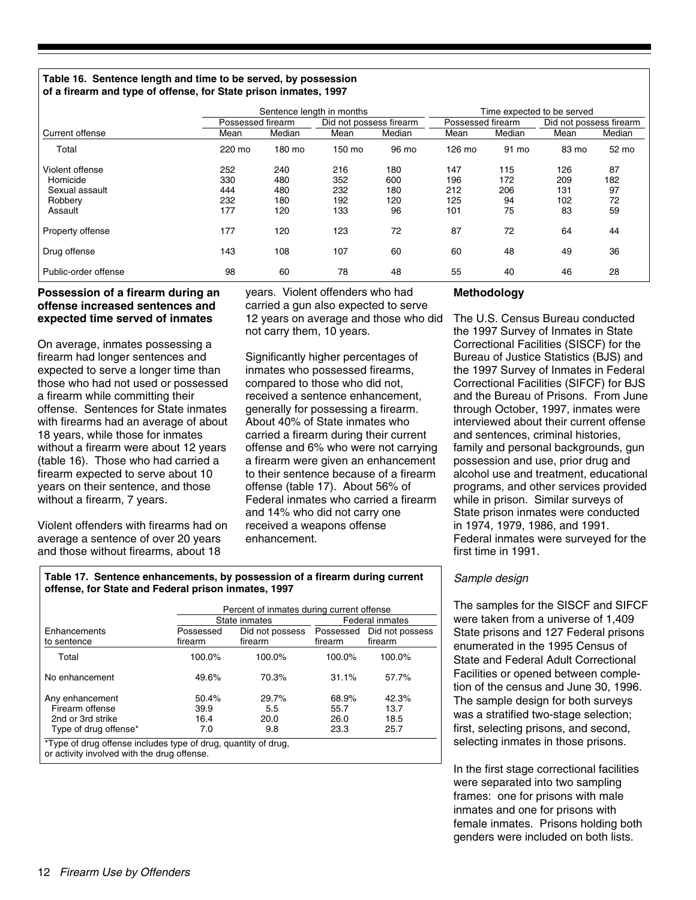#### **Table 16. Sentence length and time to be served, by possession of a firearm and type of offense, for State prison inmates, 1997**

|                      |                   |        | Sentence length in months |        |                   |        | Time expected to be served |        |
|----------------------|-------------------|--------|---------------------------|--------|-------------------|--------|----------------------------|--------|
|                      | Possessed firearm |        | Did not possess firearm   |        | Possessed firearm |        | Did not possess firearm    |        |
| Current offense      | Mean              | Median | Mean                      | Median | Mean              | Median | Mean                       | Median |
| Total                | 220 mo            | 180 mo | 150 mo                    | 96 mo  | 126 mo            | 91 mo  | 83 mo                      | 52 mo  |
| Violent offense      | 252               | 240    | 216                       | 180    | 147               | 115    | 126                        | 87     |
| Homicide             | 330               | 480    | 352                       | 600    | 196               | 172    | 209                        | 182    |
| Sexual assault       | 444               | 480    | 232                       | 180    | 212               | 206    | 131                        | 97     |
| Robbery              | 232               | 180    | 192                       | 120    | 125               | 94     | 102                        | 72     |
| Assault              | 177               | 120    | 133                       | 96     | 101               | 75     | 83                         | 59     |
| Property offense     | 177               | 120    | 123                       | 72     | 87                | 72     | 64                         | 44     |
| Drug offense         | 143               | 108    | 107                       | 60     | 60                | 48     | 49                         | 36     |
| Public-order offense | 98                | 60     | 78                        | 48     | 55                | 40     | 46                         | 28     |

#### **Possession of a firearm during an offense increased sentences and expected time served of inmates**

On average, inmates possessing a firearm had longer sentences and expected to serve a longer time than those who had not used or possessed a firearm while committing their offense. Sentences for State inmates with firearms had an average of about 18 years, while those for inmates without a firearm were about 12 years (table 16). Those who had carried a firearm expected to serve about 10 years on their sentence, and those without a firearm, 7 years.

Violent offenders with firearms had on average a sentence of over 20 years and those without firearms, about 18

years. Violent offenders who had carried a gun also expected to serve 12 years on average and those who did not carry them, 10 years.

Significantly higher percentages of inmates who possessed firearms, compared to those who did not, received a sentence enhancement, generally for possessing a firearm. About 40% of State inmates who carried a firearm during their current offense and 6% who were not carrying a firearm were given an enhancement to their sentence because of a firearm offense (table 17). About 56% of Federal inmates who carried a firearm and 14% who did not carry one received a weapons offense enhancement.

#### **Methodology**

The U.S. Census Bureau conducted the 1997 Survey of Inmates in State Correctional Facilities (SISCF) for the Bureau of Justice Statistics (BJS) and the 1997 Survey of Inmates in Federal Correctional Facilities (SIFCF) for BJS and the Bureau of Prisons. From June through October, 1997, inmates were interviewed about their current offense and sentences, criminal histories, family and personal backgrounds, gun possession and use, prior drug and alcohol use and treatment, educational programs, and other services provided while in prison. Similar surveys of State prison inmates were conducted in 1974, 1979, 1986, and 1991. Federal inmates were surveyed for the first time in 1991.

#### **Table 17. Sentence enhancements, by possession of a firearm during current offense, for State and Federal prison inmates, 1997**

|                                                                                  |                              | State inmates               |                               | Percent of inmates during current offense<br><b>Federal inmates</b> |  |  |
|----------------------------------------------------------------------------------|------------------------------|-----------------------------|-------------------------------|---------------------------------------------------------------------|--|--|
| Enhancements<br>to sentence                                                      | Possessed<br>firearm         | Did not possess<br>firearm  | Possessed<br>firearm          | Did not possess<br>firearm                                          |  |  |
| Total                                                                            | 100.0%                       | 100.0%                      | 100.0%                        | 100.0%                                                              |  |  |
| No enhancement                                                                   | 49.6%                        | 70.3%                       | 31.1%                         | 57.7%                                                               |  |  |
| Any enhancement<br>Firearm offense<br>2nd or 3rd strike<br>Type of drug offense* | 50.4%<br>39.9<br>16.4<br>7.0 | 29.7%<br>5.5<br>20.0<br>9.8 | 68.9%<br>55.7<br>26.0<br>23.3 | 42.3%<br>13.7<br>18.5<br>25.7                                       |  |  |

activity involved with the drug offense.

#### *Sample design*

The samples for the SISCF and SIFCF were taken from a universe of 1,409 State prisons and 127 Federal prisons enumerated in the 1995 Census of State and Federal Adult Correctional Facilities or opened between completion of the census and June 30, 1996. The sample design for both surveys was a stratified two-stage selection; first, selecting prisons, and second, selecting inmates in those prisons.

In the first stage correctional facilities were separated into two sampling frames: one for prisons with male inmates and one for prisons with female inmates. Prisons holding both genders were included on both lists.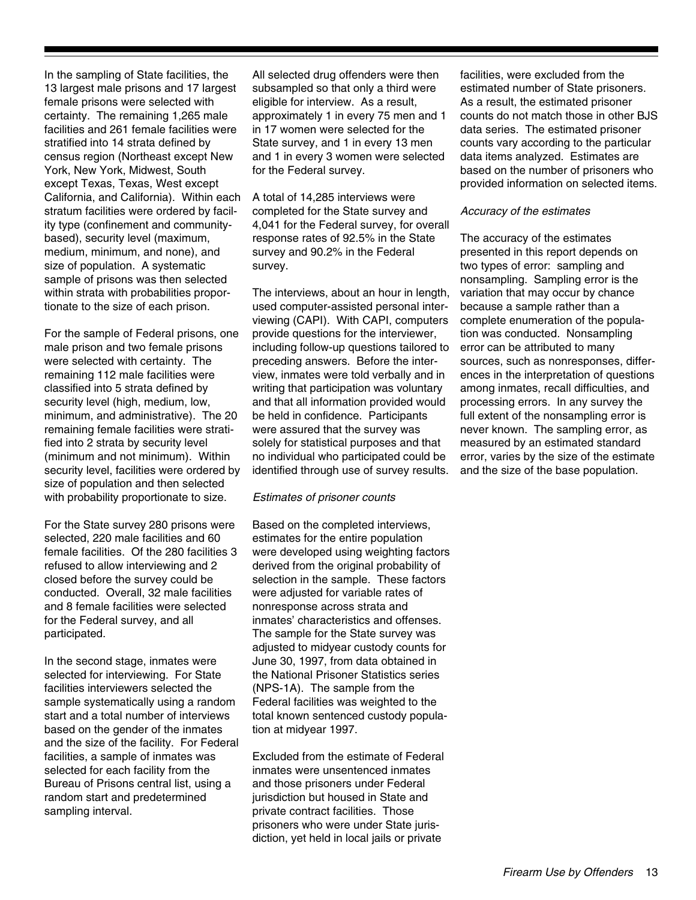In the sampling of State facilities, the 13 largest male prisons and 17 largest female prisons were selected with certainty. The remaining 1,265 male facilities and 261 female facilities were stratified into 14 strata defined by census region (Northeast except New York, New York, Midwest, South except Texas, Texas, West except California, and California). Within each stratum facilities were ordered by facility type (confinement and communitybased), security level (maximum, medium, minimum, and none), and size of population. A systematic sample of prisons was then selected within strata with probabilities proportionate to the size of each prison.

For the sample of Federal prisons, one male prison and two female prisons were selected with certainty. The remaining 112 male facilities were classified into 5 strata defined by security level (high, medium, low, minimum, and administrative). The 20 remaining female facilities were stratified into 2 strata by security level (minimum and not minimum). Within security level, facilities were ordered by size of population and then selected with probability proportionate to size.

For the State survey 280 prisons were selected, 220 male facilities and 60 female facilities. Of the 280 facilities 3 refused to allow interviewing and 2 closed before the survey could be conducted. Overall, 32 male facilities and 8 female facilities were selected for the Federal survey, and all participated.

In the second stage, inmates were selected for interviewing. For State facilities interviewers selected the sample systematically using a random start and a total number of interviews based on the gender of the inmates and the size of the facility. For Federal facilities, a sample of inmates was selected for each facility from the Bureau of Prisons central list, using a random start and predetermined sampling interval.

All selected drug offenders were then subsampled so that only a third were eligible for interview. As a result, approximately 1 in every 75 men and 1 in 17 women were selected for the State survey, and 1 in every 13 men and 1 in every 3 women were selected for the Federal survey.

A total of 14,285 interviews were completed for the State survey and 4,041 for the Federal survey, for overall response rates of 92.5% in the State survey and 90.2% in the Federal survey.

The interviews, about an hour in length, used computer-assisted personal interviewing (CAPI). With CAPI, computers provide questions for the interviewer, including follow-up questions tailored to preceding answers. Before the interview, inmates were told verbally and in writing that participation was voluntary and that all information provided would be held in confidence. Participants were assured that the survey was solely for statistical purposes and that no individual who participated could be identified through use of survey results.

#### *Estimates of prisoner counts*

Based on the completed interviews, estimates for the entire population were developed using weighting factors derived from the original probability of selection in the sample. These factors were adjusted for variable rates of nonresponse across strata and inmates' characteristics and offenses. The sample for the State survey was adjusted to midyear custody counts for June 30, 1997, from data obtained in the National Prisoner Statistics series (NPS-1A). The sample from the Federal facilities was weighted to the total known sentenced custody population at midyear 1997.

Excluded from the estimate of Federal inmates were unsentenced inmates and those prisoners under Federal jurisdiction but housed in State and private contract facilities. Those prisoners who were under State jurisdiction, yet held in local jails or private

facilities, were excluded from the estimated number of State prisoners. As a result, the estimated prisoner counts do not match those in other BJS data series. The estimated prisoner counts vary according to the particular data items analyzed. Estimates are based on the number of prisoners who provided information on selected items.

#### *Accuracy of the estimates*

The accuracy of the estimates presented in this report depends on two types of error: sampling and nonsampling. Sampling error is the variation that may occur by chance because a sample rather than a complete enumeration of the population was conducted. Nonsampling error can be attributed to many sources, such as nonresponses, differences in the interpretation of questions among inmates, recall difficulties, and processing errors. In any survey the full extent of the nonsampling error is never known. The sampling error, as measured by an estimated standard error, varies by the size of the estimate and the size of the base population.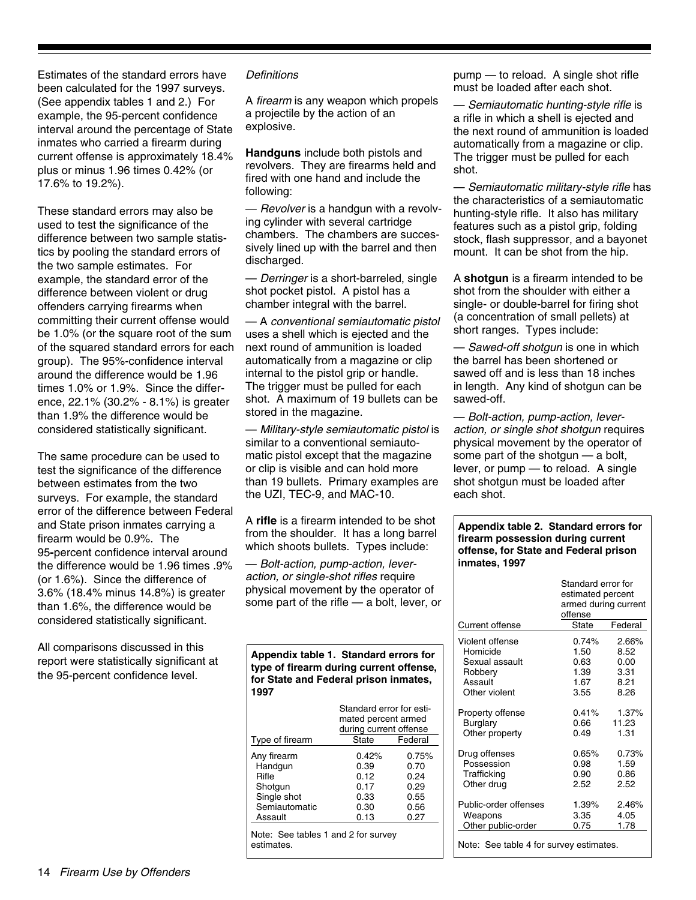Estimates of the standard errors have been calculated for the 1997 surveys. (See appendix tables 1 and 2.) For example, the 95-percent confidence interval around the percentage of State inmates who carried a firearm during current offense is approximately 18.4% plus or minus 1.96 times 0.42% (or 17.6% to 19.2%).

These standard errors may also be used to test the significance of the difference between two sample statistics by pooling the standard errors of the two sample estimates. For example, the standard error of the difference between violent or drug offenders carrying firearms when committing their current offense would be 1.0% (or the square root of the sum of the squared standard errors for each group). The 95%-confidence interval around the difference would be 1.96 times 1.0% or 1.9%. Since the difference, 22.1% (30.2% - 8.1%) is greater than 1.9% the difference would be considered statistically significant.

The same procedure can be used to test the significance of the difference between estimates from the two surveys. For example, the standard error of the difference between Federal and State prison inmates carrying a firearm would be 0.9%. The 95**-**percent confidence interval around the difference would be 1.96 times .9% (or 1.6%). Since the difference of 3.6% (18.4% minus 14.8%) is greater than 1.6%, the difference would be considered statistically significant.

All comparisons discussed in this report were statistically significant at the 95-percent confidence level.

#### *Definitions*

A *firearm* is any weapon which propels a projectile by the action of an explosive.

**Handguns** include both pistols and revolvers. They are firearms held and fired with one hand and include the following:

— *Revolver* is a handgun with a revolving cylinder with several cartridge chambers. The chambers are successively lined up with the barrel and then discharged.

— *Derringer* is a short-barreled, single shot pocket pistol. A pistol has a chamber integral with the barrel.

— A *conventional semiautomatic pistol* uses a shell which is ejected and the next round of ammunition is loaded automatically from a magazine or clip internal to the pistol grip or handle. The trigger must be pulled for each shot. A maximum of 19 bullets can be stored in the magazine.

— *Military-style semiautomatic pistol* is similar to a conventional semiautomatic pistol except that the magazine or clip is visible and can hold more than 19 bullets. Primary examples are the UZI, TEC-9, and MAC-10.

A **rifle** is a firearm intended to be shot from the shoulder. It has a long barrel which shoots bullets. Types include:

— *Bolt-action, pump-action, leveraction, or single-shot rifles* require physical movement by the operator of some part of the rifle — a bolt, lever, or

**Appendix table 1. Standard errors for type of firearm during current offense, for State and Federal prison inmates, 1997**

| Type of firearm                                                | Standard error for esti-<br>mated percent armed<br>during current offense<br>State<br>Federal |       |  |
|----------------------------------------------------------------|-----------------------------------------------------------------------------------------------|-------|--|
| Any firearm                                                    | 0.42%                                                                                         | 0.75% |  |
| Handgun                                                        | 0.39                                                                                          | 0.70  |  |
| Rifle                                                          | 0.12                                                                                          | 0.24  |  |
| Shotgun                                                        | 0.17                                                                                          | 0.29  |  |
| Single shot                                                    | 0.33                                                                                          | 0.55  |  |
| Semiautomatic                                                  | 0.30                                                                                          | 0.56  |  |
| 0.27<br>Assault<br>0.13<br>Note: See tables 1 and 2 for survey |                                                                                               |       |  |

pump — to reload. A single shot rifle must be loaded after each shot.

— *Semiautomatic hunting-style rifle* is a rifle in which a shell is ejected and the next round of ammunition is loaded automatically from a magazine or clip. The trigger must be pulled for each shot.

— *Semiautomatic military-style rifle* has the characteristics of a semiautomatic hunting-style rifle. It also has military features such as a pistol grip, folding stock, flash suppressor, and a bayonet mount. It can be shot from the hip.

A **shotgun** is a firearm intended to be shot from the shoulder with either a single- or double-barrel for firing shot (a concentration of small pellets) at short ranges. Types include:

— *Sawed-off shotgun* is one in which the barrel has been shortened or sawed off and is less than 18 inches in length. Any kind of shotgun can be sawed-off.

— *Bolt-action, pump-action, leveraction, or single shot shotgun* requires physical movement by the operator of some part of the shotgun — a bolt, lever, or pump — to reload. A single shot shotgun must be loaded after each shot.

#### **Appendix table 2. Standard errors for firearm possession during current offense, for State and Federal prison inmates, 1997**

|                       | Standard error for<br>estimated percent<br>armed during current<br>offense |         |
|-----------------------|----------------------------------------------------------------------------|---------|
| Current offense       | <b>State</b>                                                               | Federal |
| Violent offense       | 0.74%                                                                      | 2.66%   |
| Homicide              | 1.50                                                                       | 8.52    |
| Sexual assault        | 0.63                                                                       | 0.00    |
| Robbery               | 1.39                                                                       | 3.31    |
| Assault               | 1.67                                                                       | 8.21    |
| Other violent         | 3.55                                                                       | 8.26    |
| Property offense      | $0.41\%$                                                                   | 1.37%   |
| Burglary              | 0.66                                                                       | 11.23   |
| Other property        | 0.49                                                                       | 1.31    |
| Drug offenses         | 0.65%                                                                      | 0.73%   |
| Possession            | 0.98                                                                       | 1.59    |
| Trafficking           | 0.90                                                                       | 0.86    |
| Other drug            | 2.52                                                                       | 2.52    |
| Public-order offenses | 1.39%                                                                      | 2.46%   |
| Weapons               | 3.35                                                                       | 4.05    |
| Other public-order    | 0.75                                                                       | 1.78    |

Note: See table 4 for survey estimates.